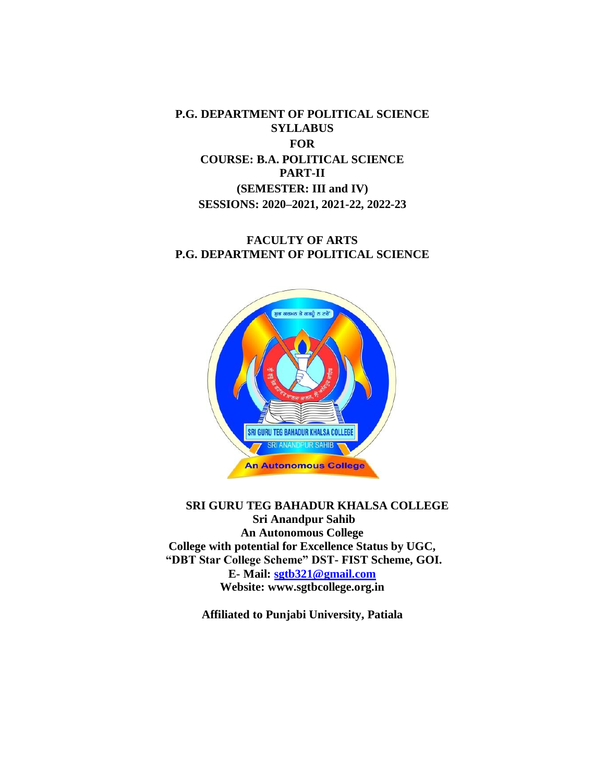**P.G. DEPARTMENT OF POLITICAL SCIENCE SYLLABUS FOR COURSE: B.A. POLITICAL SCIENCE PART-II (SEMESTER: III and IV) SESSIONS: 2020–2021, 2021-22, 2022-23**

# **FACULTY OF ARTS P.G. DEPARTMENT OF POLITICAL SCIENCE**



# **SRI GURU TEG BAHADUR KHALSA COLLEGE Sri Anandpur Sahib An Autonomous College College with potential for Excellence Status by UGC, "DBT Star College Scheme" DST- FIST Scheme, GOI. E- Mail: [sgtb321@gmail.com](mailto:sgtb321@gmail.com) Website: www.sgtbcollege.org.in**

**Affiliated to Punjabi University, Patiala**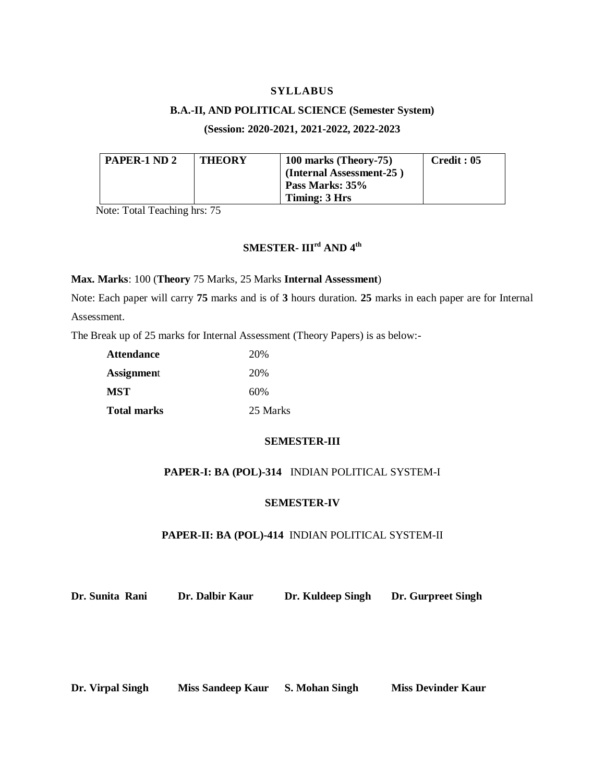### **SYLLABUS**

#### **B.A.-II, AND POLITICAL SCIENCE (Semester System)**

**(Session: 2020-2021, 2021-2022, 2022-2023**

| PAPER-1 ND 2 | <b>THEORY</b> | 100 marks (Theory-75)    | Credit: 05 |
|--------------|---------------|--------------------------|------------|
|              |               | (Internal Assessment-25) |            |
|              |               | Pass Marks: 35%          |            |
|              |               | Timing: 3 Hrs            |            |

Note: Total Teaching hrs: 75

# **SMESTER- IIIrd AND 4th**

**Max. Marks**: 100 (**Theory** 75 Marks, 25 Marks **Internal Assessment**)

Note: Each paper will carry **75** marks and is of **3** hours duration. **25** marks in each paper are for Internal Assessment.

The Break up of 25 marks for Internal Assessment (Theory Papers) is as below:-

| <b>Attendance</b>  | 20\%     |
|--------------------|----------|
| <b>Assignment</b>  | 20\%     |
| <b>MST</b>         | 60%      |
| <b>Total marks</b> | 25 Marks |

#### **SEMESTER-III**

# **PAPER-I: BA (POL)-314** INDIAN POLITICAL SYSTEM-I

#### **SEMESTER-IV**

#### **PAPER-II: BA (POL)-414** INDIAN POLITICAL SYSTEM-II

**Dr. Sunita Rani Dr. Dalbir Kaur Dr. Kuldeep Singh Dr. Gurpreet Singh**

**Dr. Virpal Singh Miss Sandeep Kaur S. Mohan Singh Miss Devinder Kaur**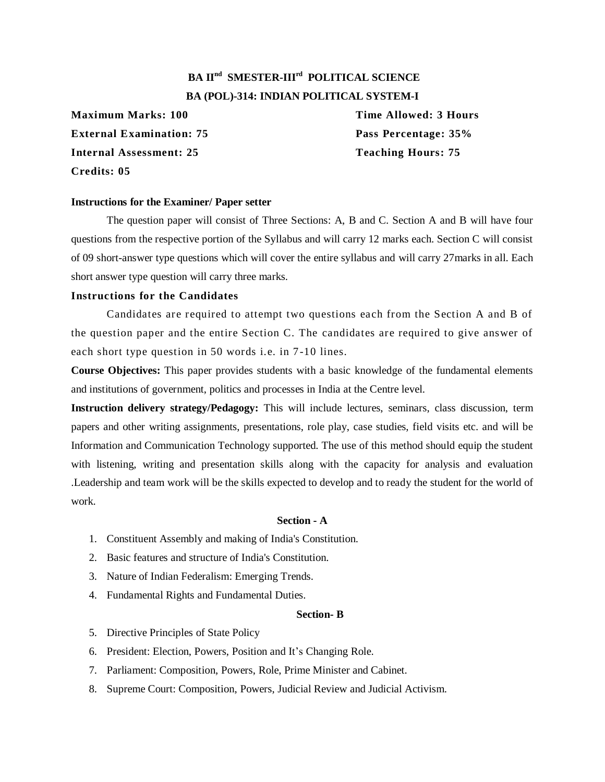# **BA IInd SMESTER-IIIrd POLITICAL SCIENCE BA (POL)-314: INDIAN POLITICAL SYSTEM-I**

**Maximum Marks: 100 Time Allowed: 3 Hours External Examination: 75 Pass Percentage: 35% Internal Assessment: 25 Teaching Hours: 75 Credits: 05**

#### **Instructions for the Examiner/ Paper setter**

The question paper will consist of Three Sections: A, B and C. Section A and B will have four questions from the respective portion of the Syllabus and will carry 12 marks each. Section C will consist of 09 short-answer type questions which will cover the entire syllabus and will carry 27marks in all. Each short answer type question will carry three marks.

## **Instructions for the Candidates**

Candidates are required to attempt two questions each from the Section A and B of the question paper and the entire Section C. The candidates are required to give answer of each short type question in 50 words i.e. in 7-10 lines.

**Course Objectives:** This paper provides students with a basic knowledge of the fundamental elements and institutions of government, politics and processes in India at the Centre level.

**Instruction delivery strategy/Pedagogy:** This will include lectures, seminars, class discussion, term papers and other writing assignments, presentations, role play, case studies, field visits etc. and will be Information and Communication Technology supported. The use of this method should equip the student with listening, writing and presentation skills along with the capacity for analysis and evaluation .Leadership and team work will be the skills expected to develop and to ready the student for the world of work.

#### **Section - A**

- 1. Constituent Assembly and making of India's Constitution.
- 2. Basic features and structure of India's Constitution.
- 3. Nature of Indian Federalism: Emerging Trends.
- 4. Fundamental Rights and Fundamental Duties.

#### **Section- B**

- 5. Directive Principles of State Policy
- 6. President: Election, Powers, Position and It's Changing Role.
- 7. Parliament: Composition, Powers, Role, Prime Minister and Cabinet.
- 8. Supreme Court: Composition, Powers, Judicial Review and Judicial Activism.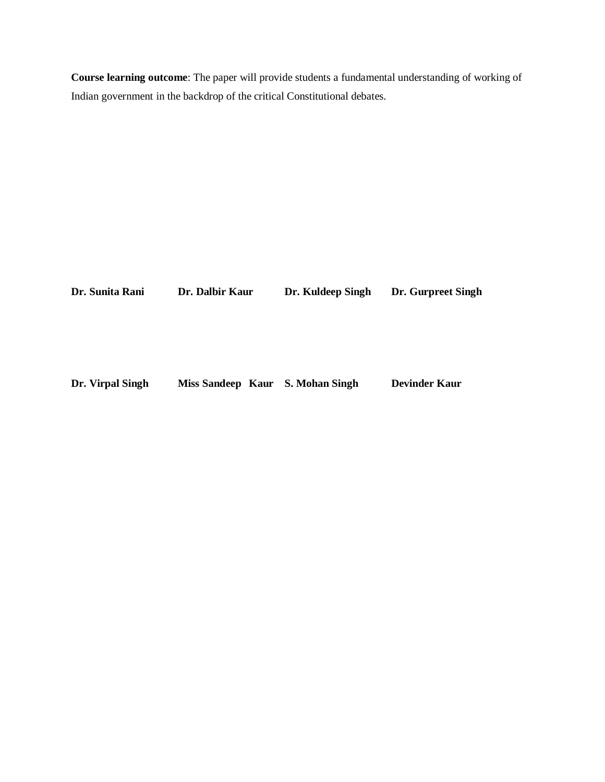**Course learning outcome**: The paper will provide students a fundamental understanding of working of Indian government in the backdrop of the critical Constitutional debates.

| Dr. Sunita Rani  | Dr. Dalbir Kaur                  | Dr. Kuldeep Singh | Dr. Gurpreet Singh   |  |
|------------------|----------------------------------|-------------------|----------------------|--|
|                  |                                  |                   |                      |  |
|                  |                                  |                   |                      |  |
|                  |                                  |                   |                      |  |
| Dr. Virpal Singh | Miss Sandeep Kaur S. Mohan Singh |                   | <b>Devinder Kaur</b> |  |
|                  |                                  |                   |                      |  |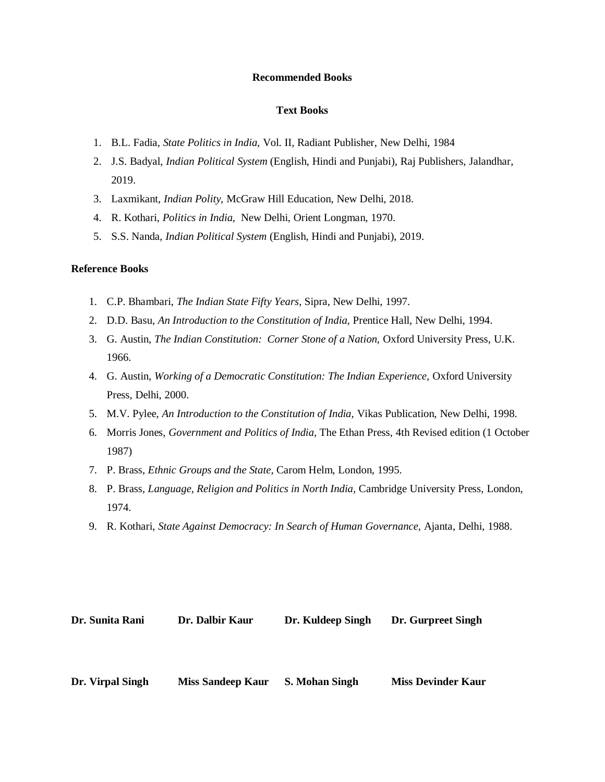#### **Recommended Books**

#### **Text Books**

- 1. B.L. Fadia, *State Politics in India,* Vol. II, Radiant Publisher, New Delhi, 1984
- 2. J.S. Badyal, *Indian Political System* (English, Hindi and Punjabi), Raj Publishers, Jalandhar, 2019.
- 3. Laxmikant, *Indian Polity,* McGraw Hill Education, New Delhi, 2018.
- 4. R. Kothari, *Politics in India,* New Delhi, Orient Longman, 1970.
- 5. S.S. Nanda, *Indian Political System* (English, Hindi and Punjabi), 2019.

#### **Reference Books**

- 1. C.P. Bhambari, *The Indian State Fifty Years*, Sipra, New Delhi, 1997.
- 2. D.D. Basu, *An Introduction to the Constitution of India,* Prentice Hall, New Delhi, 1994.
- 3. G. Austin, *The Indian Constitution: Corner Stone of a Nation,* Oxford University Press, U.K. 1966.
- 4. G. Austin, *Working of a Democratic Constitution: The Indian Experience,* Oxford University Press, Delhi, 2000.
- 5. M.V. Pylee, *An Introduction to the Constitution of India,* Vikas Publication, New Delhi, 1998.
- 6. Morris Jones, *Government and Politics of India,* The Ethan Press, 4th Revised edition (1 October 1987)
- 7. P. Brass, *Ethnic Groups and the State,* Carom Helm, London, 1995.
- 8. P. Brass, *Language, Religion and Politics in North India,* Cambridge University Press, London, 1974.
- 9. R. Kothari, *State Against Democracy: In Search of Human Governance,* Ajanta, Delhi, 1988.

| Dr. Sunita Rani | Dr. Dalbir Kaur | Dr. Kuldeep Singh | Dr. Gurpreet Singh |
|-----------------|-----------------|-------------------|--------------------|
|                 |                 |                   |                    |
|                 |                 |                   |                    |
|                 |                 |                   |                    |

**Dr. Virpal Singh Miss Sandeep Kaur S. Mohan Singh Miss Devinder Kaur**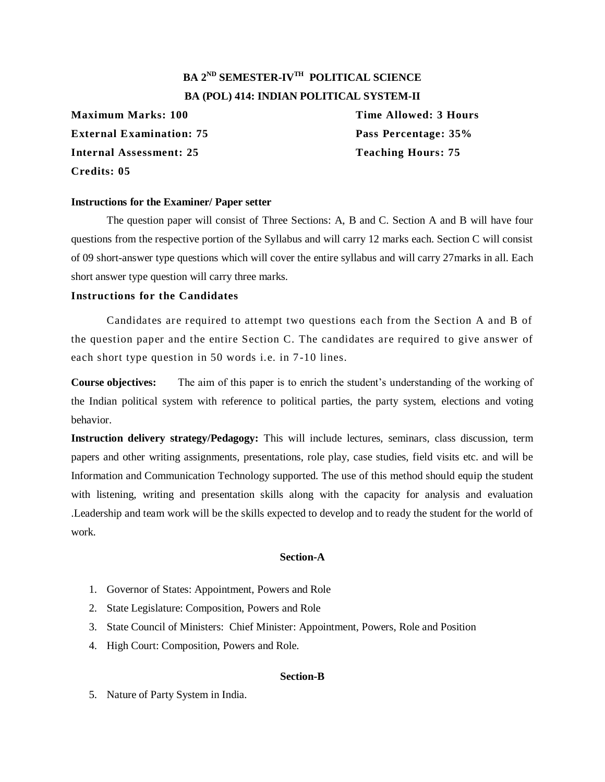# **BA 2ND SEMESTER-IVTH POLITICAL SCIENCE BA (POL) 414: INDIAN POLITICAL SYSTEM-II**

**Maximum Marks: 100 Time Allowed: 3 Hours External Examination: 75 Pass Percentage: 35% Internal Assessment: 25 Teaching Hours: 75 Credits: 05**

### **Instructions for the Examiner/ Paper setter**

The question paper will consist of Three Sections: A, B and C. Section A and B will have four questions from the respective portion of the Syllabus and will carry 12 marks each. Section C will consist of 09 short-answer type questions which will cover the entire syllabus and will carry 27marks in all. Each short answer type question will carry three marks.

# **Instructions for the Candidates**

Candidates are required to attempt two questions each from the Section A and B of the question paper and the entire Section C. The candidates are required to give answer of each short type question in 50 words i.e. in 7-10 lines.

**Course objectives:** The aim of this paper is to enrich the student's understanding of the working of the Indian political system with reference to political parties, the party system, elections and voting behavior.

**Instruction delivery strategy/Pedagogy:** This will include lectures, seminars, class discussion, term papers and other writing assignments, presentations, role play, case studies, field visits etc. and will be Information and Communication Technology supported. The use of this method should equip the student with listening, writing and presentation skills along with the capacity for analysis and evaluation .Leadership and team work will be the skills expected to develop and to ready the student for the world of work.

#### **Section-A**

- 1. Governor of States: Appointment, Powers and Role
- 2. State Legislature: Composition, Powers and Role
- 3. State Council of Ministers: Chief Minister: Appointment, Powers, Role and Position
- 4. High Court: Composition, Powers and Role.

# **Section-B**

5. Nature of Party System in India.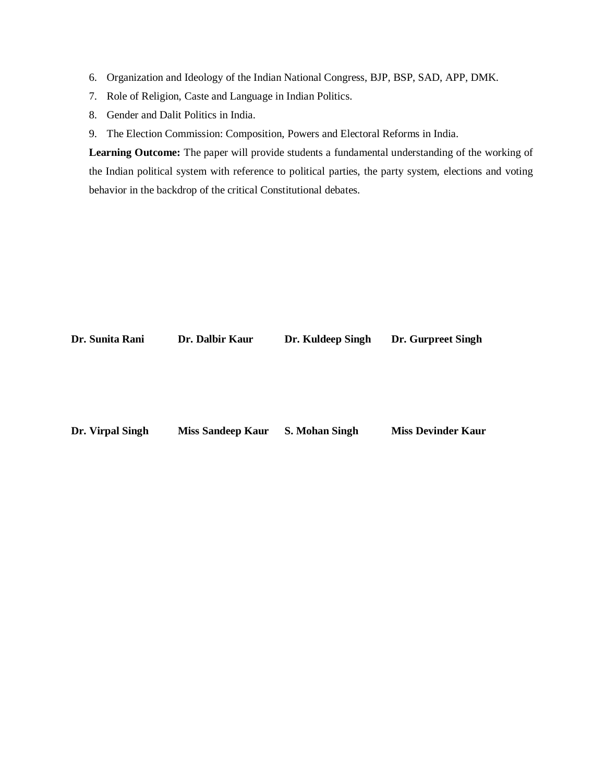- 6. Organization and Ideology of the Indian National Congress, BJP, BSP, SAD, APP, DMK.
- 7. Role of Religion, Caste and Language in Indian Politics.
- 8. Gender and Dalit Politics in India.
- 9. The Election Commission: Composition, Powers and Electoral Reforms in India.

**Learning Outcome:** The paper will provide students a fundamental understanding of the working of the Indian political system with reference to political parties, the party system, elections and voting behavior in the backdrop of the critical Constitutional debates.

| Dr. Sunita Rani  | Dr. Dalbir Kaur          | Dr. Kuldeep Singh     | Dr. Gurpreet Singh        |
|------------------|--------------------------|-----------------------|---------------------------|
|                  |                          |                       |                           |
|                  |                          |                       |                           |
|                  |                          |                       |                           |
|                  |                          |                       |                           |
|                  |                          |                       |                           |
|                  |                          |                       |                           |
| Dr. Virpal Singh | <b>Miss Sandeep Kaur</b> | <b>S. Mohan Singh</b> | <b>Miss Devinder Kaur</b> |
|                  |                          |                       |                           |